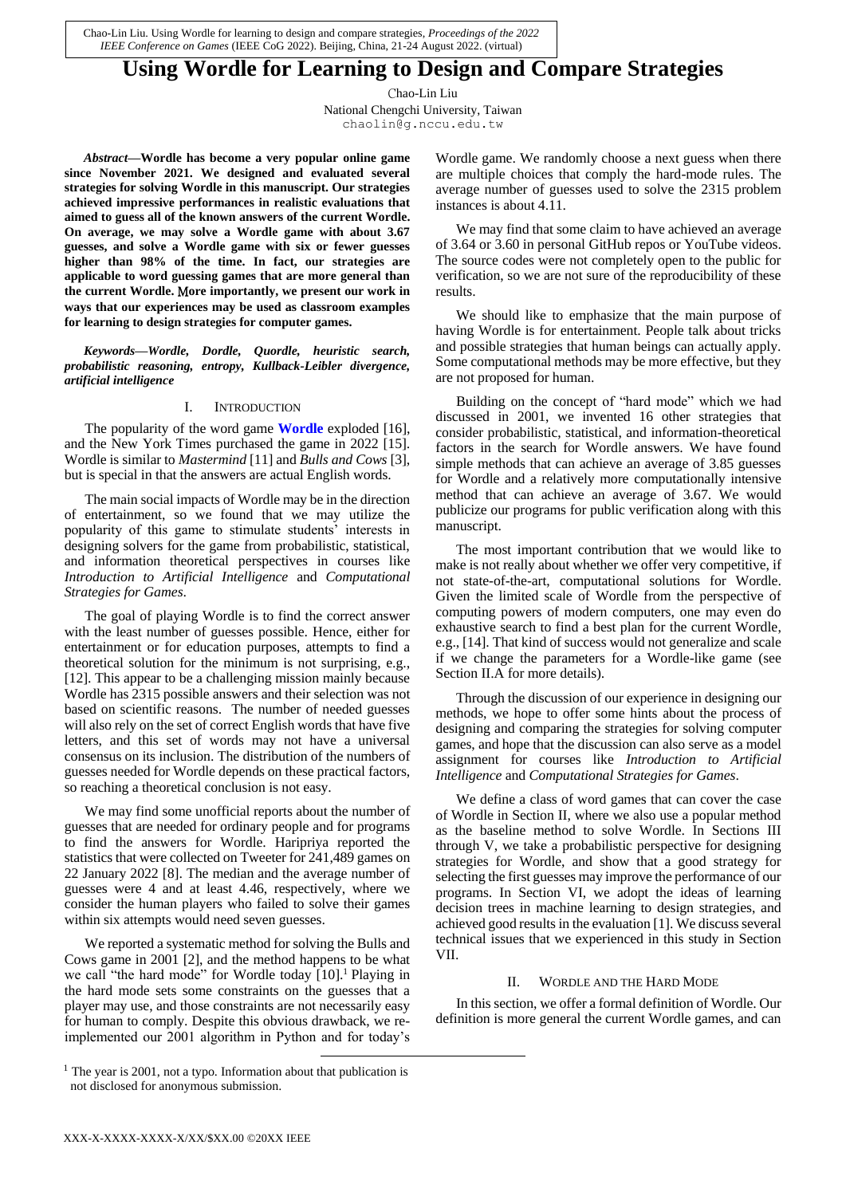Chao-Lin Liu. Using Wordle for learning to design and compare strategies, *Proceedings of the 2022 IEEE Conference on Games* (IEEE CoG 2022). Beijing, China, 21-24 August 2022. (virtual)

# **Using Wordle for Learning to Design and Compare Strategies**

Chao-Lin Liu

National Chengchi University, Taiwan chaolin@g.nccu.edu.tw

*Abstract***—Wordle has become a very popular online game since November 2021. We designed and evaluated several strategies for solving Wordle in this manuscript. Our strategies achieved impressive performances in realistic evaluations that aimed to guess all of the known answers of the current Wordle. On average, we may solve a Wordle game with about 3.67 guesses, and solve a Wordle game with six or fewer guesses higher than 98% of the time. In fact, our strategies are applicable to word guessing games that are more general than the current Wordle.** M**ore importantly, we present our work in ways that our experiences may be used as classroom examples for learning to design strategies for computer games.**

*Keywords—Wordle, Dordle, Quordle, heuristic search, probabilistic reasoning, entropy, Kullback-Leibler divergence, artificial intelligence*

## I. INTRODUCTION

The popularity of the word game **Wordle** exploded [\[16\],](#page-5-0) and the New York Times purchased the game in 2022 [\[15\].](#page-5-1) Wordle is similar to *Mastermind* [\[11\]](#page-5-2) and *Bulls and Cows* [\[3\],](#page-5-3) but is special in that the answers are actual English words.

The main social impacts of Wordle may be in the direction of entertainment, so we found that we may utilize the popularity of this game to stimulate students' interests in designing solvers for the game from probabilistic, statistical, and information theoretical perspectives in courses like *Introduction to Artificial Intelligence* and *Computational Strategies for Games*.

The goal of playing Wordle is to find the correct answer with the least number of guesses possible. Hence, either for entertainment or for education purposes, attempts to find a theoretical solution for the minimum is not surprising, e.g., [\[12\].](#page-5-4) This appear to be a challenging mission mainly because Wordle has 2315 possible answers and their selection was not based on scientific reasons. The number of needed guesses will also rely on the set of correct English words that have five letters, and this set of words may not have a universal consensus on its inclusion. The distribution of the numbers of guesses needed for Wordle depends on these practical factors, so reaching a theoretical conclusion is not easy.

We may find some unofficial reports about the number of guesses that are needed for ordinary people and for programs to find the answers for Wordle. Haripriya reported the statistics that were collected on Tweeter for 241,489 games on 22 January 2022 [\[8\].](#page-5-5) The median and the average number of guesses were 4 and at least 4.46, respectively, where we consider the human players who failed to solve their games within six attempts would need seven guesses.

We reported a systematic method for solving the Bulls and Cows game in 2001 [\[2\],](#page-5-6) and the method happens to be what we call "the hard mode" for Wordle today [\[10\].](#page-5-7)<sup>1</sup> Playing in the hard mode sets some constraints on the guesses that a player may use, and those constraints are not necessarily easy for human to comply. Despite this obvious drawback, we reimplemented our 2001 algorithm in Python and for today's

Wordle game. We randomly choose a next guess when there are multiple choices that comply the hard-mode rules. The average number of guesses used to solve the 2315 problem instances is about 4.11.

We may find that some claim to have achieved an average of 3.64 or 3.60 in personal GitHub repos or YouTube videos. The source codes were not completely open to the public for verification, so we are not sure of the reproducibility of these results.

We should like to emphasize that the main purpose of having Wordle is for entertainment. People talk about tricks and possible strategies that human beings can actually apply. Some computational methods may be more effective, but they are not proposed for human.

Building on the concept of "hard mode" which we had discussed in 2001, we invented 16 other strategies that consider probabilistic, statistical, and information-theoretical factors in the search for Wordle answers. We have found simple methods that can achieve an average of 3.85 guesses for Wordle and a relatively more computationally intensive method that can achieve an average of 3.67. We would publicize our programs for public verification along with this manuscript.

The most important contribution that we would like to make is not really about whether we offer very competitive, if not state-of-the-art, computational solutions for Wordle. Given the limited scale of Wordle from the perspective of computing powers of modern computers, one may even do exhaustive search to find a best plan for the current Wordle, e.g., [\[14\].](#page-5-8) That kind of success would not generalize and scale if we change the parameters for a Wordle-like game (see Section II.A for more details).

Through the discussion of our experience in designing our methods, we hope to offer some hints about the process of designing and comparing the strategies for solving computer games, and hope that the discussion can also serve as a model assignment for courses like *Introduction to Artificial Intelligence* and *Computational Strategies for Games*.

We define a class of word games that can cover the case of Wordle in Section II, where we also use a popular method as the baseline method to solve Wordle. In Sections III through V, we take a probabilistic perspective for designing strategies for Wordle, and show that a good strategy for selecting the first guesses may improve the performance of our programs. In Section VI, we adopt the ideas of learning decision trees in machine learning to design strategies, and achieved good results in the evaluation [\[1\].](#page-5-9) We discuss several technical issues that we experienced in this study in Section VII.

# II. WORDLE AND THE HARD MODE

In this section, we offer a formal definition of Wordle. Our definition is more general the current Wordle games, and can

 $\overline{a}$ 

 $<sup>1</sup>$  The year is 2001, not a typo. Information about that publication is</sup> not disclosed for anonymous submission.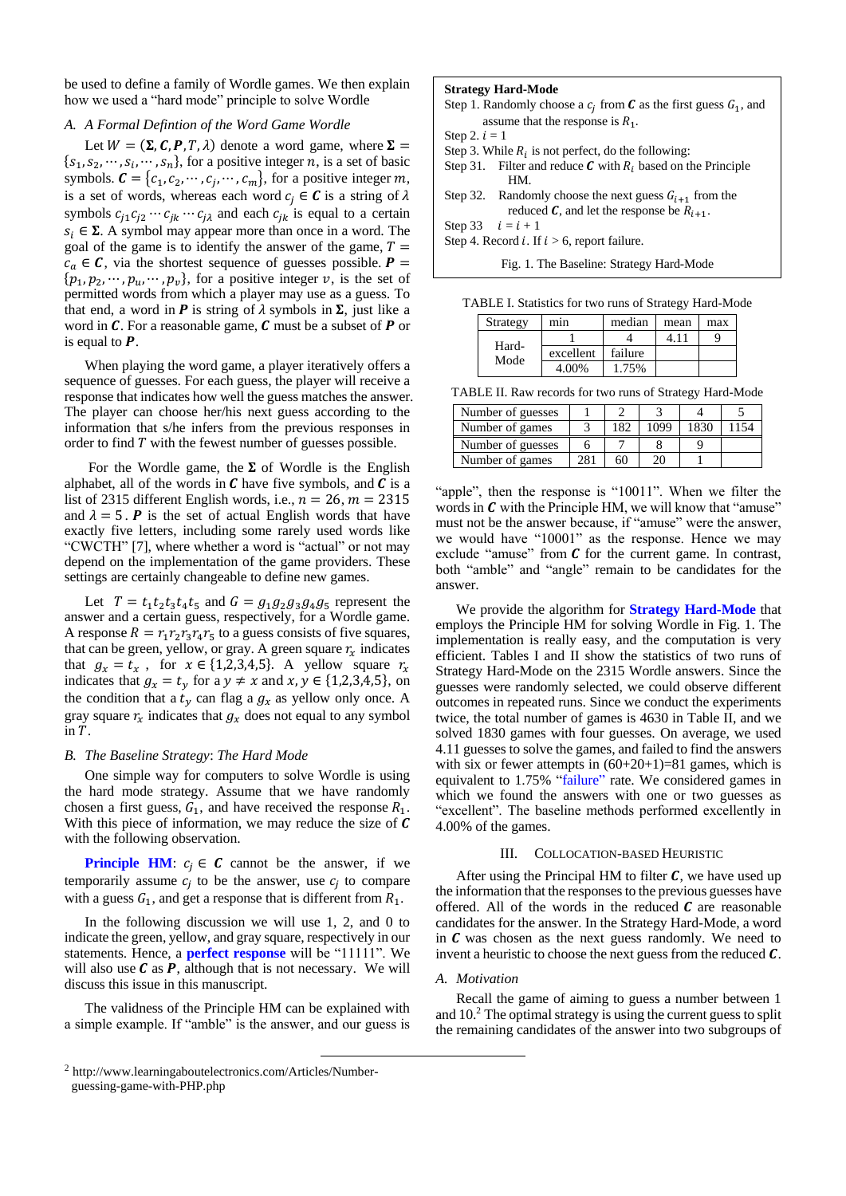be used to define a family of Wordle games. We then explain how we used a "hard mode" principle to solve Wordle

## *A. A Formal Defintion of the Word Game Wordle*

Let  $W = (\Sigma, C, P, T, \lambda)$  denote a word game, where  $\Sigma =$  $\{s_1, s_2, \dots, s_i, \dots, s_n\}$ , for a positive integer *n*, is a set of basic symbols.  $\mathbf{C} = \{c_1, c_2, \cdots, c_j, \cdots, c_m\}$ , for a positive integer m, is a set of words, whereas each word  $c_i \in \mathcal{C}$  is a string of  $\lambda$ symbols  $c_{j1}c_{j2} \cdots c_{jk} \cdots c_{j\lambda}$  and each  $c_{jk}$  is equal to a certain  $s_i \in \Sigma$ . A symbol may appear more than once in a word. The goal of the game is to identify the answer of the game,  $T =$  $c_a \in \mathcal{C}$ , via the shortest sequence of guesses possible.  $\mathbf{P} =$  $\{p_1, p_2, \dots, p_u, \dots, p_v\}$ , for a positive integer v, is the set of permitted words from which a player may use as a guess. To that end, a word in **P** is string of  $\lambda$  symbols in  $\Sigma$ , just like a word in  $C$ . For a reasonable game,  $C$  must be a subset of  $P$  or is equal to  $P$ .

When playing the word game, a player iteratively offers a sequence of guesses. For each guess, the player will receive a response that indicates how well the guess matches the answer. The player can choose her/his next guess according to the information that s/he infers from the previous responses in order to find  $T$  with the fewest number of guesses possible.

For the Wordle game, the  $\Sigma$  of Wordle is the English alphabet, all of the words in  $C$  have five symbols, and  $C$  is a list of 2315 different English words, i.e.,  $n = 26$ ,  $m = 2315$ and  $\lambda = 5$ . **P** is the set of actual English words that have exactly five letters, including some rarely used words like "CWCTH" [\[7\],](#page-5-10) where whether a word is "actual" or not may depend on the implementation of the game providers. These settings are certainly changeable to define new games.

Let  $T = t_1 t_2 t_3 t_4 t_5$  and  $G = g_1 g_2 g_3 g_4 g_5$  represent the answer and a certain guess, respectively, for a Wordle game. A response  $R = r_1 r_2 r_3 r_4 r_5$  to a guess consists of five squares, that can be green, yellow, or gray. A green square  $r<sub>x</sub>$  indicates that  $g_x = t_x$ , for  $x \in \{1,2,3,4,5\}$ . A yellow square  $r_x$ indicates that  $g_x = t_y$  for a  $y \neq x$  and  $x, y \in \{1,2,3,4,5\}$ , on the condition that a  $t_y$  can flag a  $g_x$  as yellow only once. A gray square  $r_x$  indicates that  $g_x$  does not equal to any symbol in  $T$ .

#### *B. The Baseline Strategy*: *The Hard Mode*

One simple way for computers to solve Wordle is using the hard mode strategy. Assume that we have randomly chosen a first guess,  $G_1$ , and have received the response  $R_1$ . With this piece of information, we may reduce the size of  $\mathcal C$ with the following observation.

**Principle HM:**  $c_i \in \mathcal{C}$  cannot be the answer, if we temporarily assume  $c_j$  to be the answer, use  $c_j$  to compare with a guess  $G_1$ , and get a response that is different from  $R_1$ .

In the following discussion we will use 1, 2, and 0 to indicate the green, yellow, and gray square, respectively in our statements. Hence, a **perfect response** will be "11111". We will also use  $C$  as  $P$ , although that is not necessary. We will discuss this issue in this manuscript.

The validness of the Principle HM can be explained with a simple example. If "amble" is the answer, and our guess is

1

#### **Strategy Hard-Mode**

- Step 1. Randomly choose a  $c_j$  from  $\boldsymbol{C}$  as the first guess  $G_1$ , and assume that the response is  $R_1$ .
- Step 2.  $i = 1$
- Step 3. While  $R_i$  is not perfect, do the following:
- Step 31. Filter and reduce  $C$  with  $R_i$  based on the Principle HM.
- Step 32. Randomly choose the next guess  $G_{i+1}$  from the reduced  $\mathcal{C}$ , and let the response be  $R_{i+1}$ .
- Step 33  $i = i + 1$ Step 4. Record *i*. If  $i > 6$ , report failure.

Fig. 1. The Baseline: Strategy Hard-Mode

TABLE I. Statistics for two runs of Strategy Hard-Mode

| Strategy      | mın       | median  | mean  | max |
|---------------|-----------|---------|-------|-----|
| Hard-<br>Mode |           |         | 4 1 i |     |
|               | excellent | failure |       |     |
|               | 4.00%     | 1.75%   |       |     |

TABLE II. Raw records for two runs of Strategy Hard-Mode

| Number of guesses |     |     |      |      |       |
|-------------------|-----|-----|------|------|-------|
| Number of games   |     | 182 | 1099 | 1830 | ' 154 |
| Number of guesses |     |     |      |      |       |
| Number of games   | 281 | 60  | 20   |      |       |

"apple", then the response is "10011". When we filter the words in  $C$  with the Principle HM, we will know that "amuse" must not be the answer because, if "amuse" were the answer, we would have "10001" as the response. Hence we may exclude "amuse" from  $C$  for the current game. In contrast, both "amble" and "angle" remain to be candidates for the answer.

We provide the algorithm for **Strategy Hard-Mode** that employs the Principle HM for solving Wordle in Fig. 1. The implementation is really easy, and the computation is very efficient. Tables I and II show the statistics of two runs of Strategy Hard-Mode on the 2315 Wordle answers. Since the guesses were randomly selected, we could observe different outcomes in repeated runs. Since we conduct the experiments twice, the total number of games is 4630 in Table II, and we solved 1830 games with four guesses. On average, we used 4.11 guesses to solve the games, and failed to find the answers with six or fewer attempts in  $(60+20+1)=81$  games, which is equivalent to 1.75% "failure" rate. We considered games in which we found the answers with one or two guesses as "excellent". The baseline methods performed excellently in 4.00% of the games.

#### III. COLLOCATION-BASED HEURISTIC

After using the Principal HM to filter  $C$ , we have used up the information that the responses to the previous guesses have offered. All of the words in the reduced  *are reasonable* candidates for the answer. In the Strategy Hard-Mode, a word in  $C$  was chosen as the next guess randomly. We need to invent a heuristic to choose the next guess from the reduced  $C$ .

#### *A. Motivation*

Recall the game of aiming to guess a number between 1 and 10.<sup>2</sup> The optimal strategy is using the current guess to split the remaining candidates of the answer into two subgroups of

<sup>2</sup> http://www.learningaboutelectronics.com/Articles/Numberguessing-game-with-PHP.php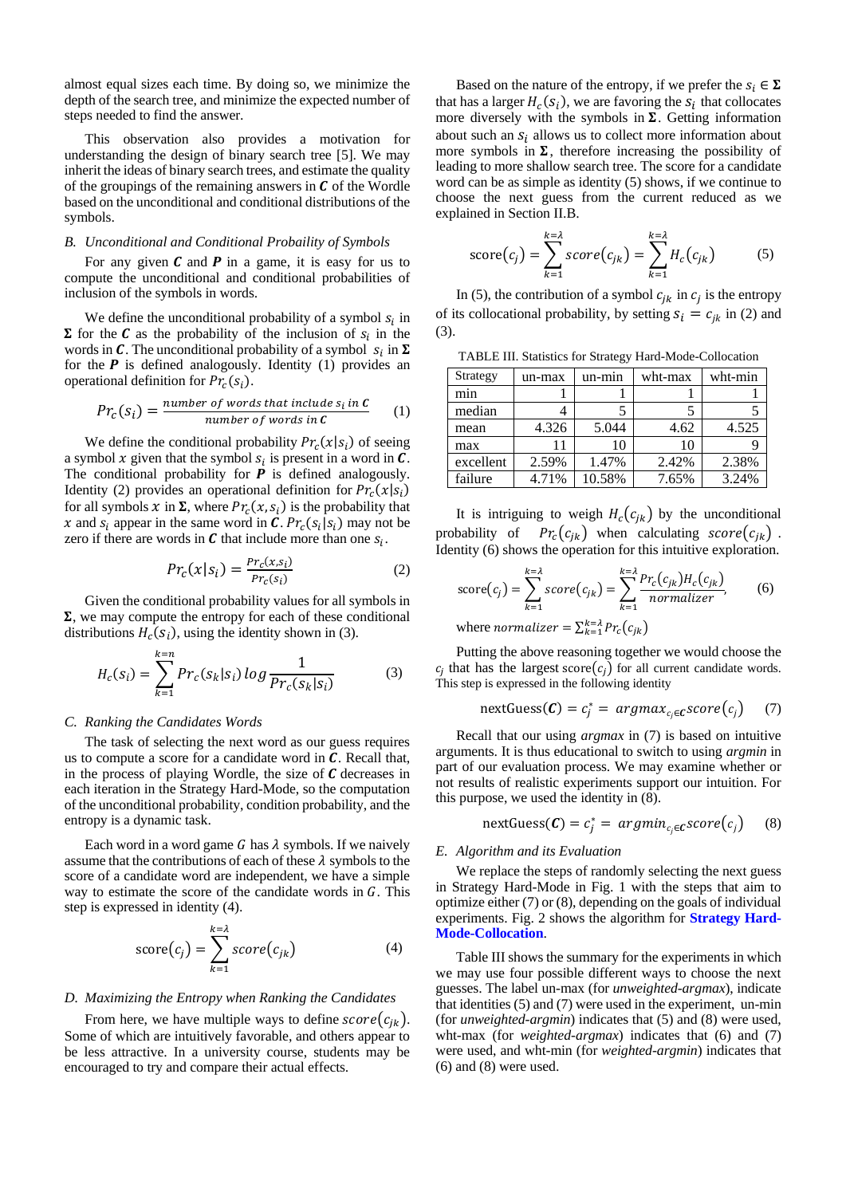almost equal sizes each time. By doing so, we minimize the depth of the search tree, and minimize the expected number of steps needed to find the answer.

This observation also provides a motivation for understanding the design of binary search tree [\[5\].](#page-5-11) We may inherit the ideas of binary search trees, and estimate the quality of the groupings of the remaining answers in  $\mathcal C$  of the Wordle based on the unconditional and conditional distributions of the symbols.

## *B. Unconditional and Conditional Probaility of Symbols*

For any given  $C$  and  $P$  in a game, it is easy for us to compute the unconditional and conditional probabilities of inclusion of the symbols in words.

We define the unconditional probability of a symbol  $s_i$  in  $\Sigma$  for the **C** as the probability of the inclusion of  $s_i$  in the words in C. The unconditional probability of a symbol  $s_i$  in  $\Sigma$ for the  $P$  is defined analogously. Identity (1) provides an operational definition for  $Pr_c(s_i)$ .

$$
Pr_c(s_i) = \frac{number\ of\ words\ that\ include\ s_i\ in\ C}{number\ of\ words\ in\ C} \tag{1}
$$

We define the conditional probability  $Pr_c(x|s_i)$  of seeing a symbol x given that the symbol  $s_i$  is present in a word in  $\mathcal{C}$ . The conditional probability for  $P$  is defined analogously. Identity (2) provides an operational definition for  $Pr_c(x|s_i)$ for all symbols  $x$  in  $\Sigma$ , where  $Pr_c(x, s_i)$  is the probability that x and  $s_i$  appear in the same word in C.  $Pr_c(s_i|s_i)$  may not be zero if there are words in  $\mathcal C$  that include more than one  $s_i$ .

$$
Pr_c(x|s_i) = \frac{Pr_c(x,s_i)}{Pr_c(s_i)}
$$
 (2)

Given the conditional probability values for all symbols in  $\Sigma$ , we may compute the entropy for each of these conditional distributions  $H_c(s_i)$ , using the identity shown in (3).

$$
H_c(s_i) = \sum_{k=1}^{k=n} Pr_c(s_k|s_i) \log \frac{1}{Pr_c(s_k|s_i)}
$$
(3)

### *C. Ranking the Candidates Words*

The task of selecting the next word as our guess requires us to compute a score for a candidate word in  $C$ . Recall that, in the process of playing Wordle, the size of  $C$  decreases in each iteration in the Strategy Hard-Mode, so the computation of the unconditional probability, condition probability, and the entropy is a dynamic task.

Each word in a word game  $G$  has  $\lambda$  symbols. If we naively assume that the contributions of each of these  $\lambda$  symbols to the score of a candidate word are independent, we have a simple way to estimate the score of the candidate words in  $G$ . This step is expressed in identity (4).

$$
score(c_j) = \sum_{k=1}^{k=\lambda} score(c_{jk})
$$
 (4)

#### *D. Maximizing the Entropy when Ranking the Candidates*

From here, we have multiple ways to define  $score(c_{ik})$ . Some of which are intuitively favorable, and others appear to be less attractive. In a university course, students may be encouraged to try and compare their actual effects.

Based on the nature of the entropy, if we prefer the  $s_i \in \Sigma$ that has a larger  $H_c(s_i)$ , we are favoring the  $s_i$  that collocates more diversely with the symbols in  $\Sigma$ . Getting information about such an  $s_i$  allows us to collect more information about more symbols in  $\Sigma$ , therefore increasing the possibility of leading to more shallow search tree. The score for a candidate word can be as simple as identity (5) shows, if we continue to choose the next guess from the current reduced as we explained in Section II.B.

score
$$
(c_j)
$$
 =  $\sum_{k=1}^{k=\lambda} score(c_{jk}) = \sum_{k=1}^{k=\lambda} H_c(c_{jk})$  (5)

In (5), the contribution of a symbol  $c_{jk}$  in  $c_j$  is the entropy of its collocational probability, by setting  $s_i = c_{ik}$  in (2) and (3).

TABLE III. Statistics for Strategy Hard-Mode-Collocation

| Strategy  | un-max | $un-min$ | wht-max | wht-min |
|-----------|--------|----------|---------|---------|
| min       |        |          |         |         |
| median    |        |          |         |         |
| mean      | 4.326  | 5.044    | 4.62    | 4.525   |
| max       | 11     | 10       | 10      |         |
| excellent | 2.59%  | 1.47%    | 2.42%   | 2.38%   |
| failure   | 4.71%  | 10.58%   | 7.65%   | 3.24%   |

It is intriguing to weigh  $H_c(c_{jk})$  by the unconditional probability of  $Pr_c(c_{jk})$  when calculating  $score(c_{jk})$ . Identity (6) shows the operation for this intuitive exploration.

score(c<sub>j</sub>) = 
$$
\sum_{k=1}^{k=1} score(c_{jk}) = \sum_{k=1}^{k=1} \frac{Pr_c(c_{jk})H_c(c_{jk})}{normalizer},
$$
 (6)

where *normalizer* =  $\sum_{k=1}^{k=\lambda} Pr_c(c_{jk})$ 

Putting the above reasoning together we would choose the  $c_j$  that has the largest score $(c_j)$  for all current candidate words. This step is expressed in the following identity

nextGuess(
$$
\boldsymbol{C}
$$
) =  $c_j^*$  =  $argmax_{c_j \in \boldsymbol{C}} score(c_j)$  (7)

Recall that our using *argmax* in (7) is based on intuitive arguments. It is thus educational to switch to using *argmin* in part of our evaluation process. We may examine whether or not results of realistic experiments support our intuition. For this purpose, we used the identity in (8).

nextGuess(
$$
\mathbf{C}
$$
) =  $c_j^*$  =  $argmin_{c_j \in \mathbf{C}} score(c_j)$  (8)

#### *E. Algorithm and its Evaluation*

We replace the steps of randomly selecting the next guess in Strategy Hard-Mode in Fig. 1 with the steps that aim to optimize either (7) or (8), depending on the goals of individual experiments. Fig. 2 shows the algorithm for **Strategy Hard-Mode-Collocation**.

Table III shows the summary for the experiments in which we may use four possible different ways to choose the next guesses. The label un-max (for *unweighted-argmax*), indicate that identities (5) and (7) were used in the experiment, un-min (for *unweighted-argmin*) indicates that (5) and (8) were used, wht-max (for *weighted-argmax*) indicates that (6) and (7) were used, and wht-min (for *weighted-argmin*) indicates that (6) and (8) were used.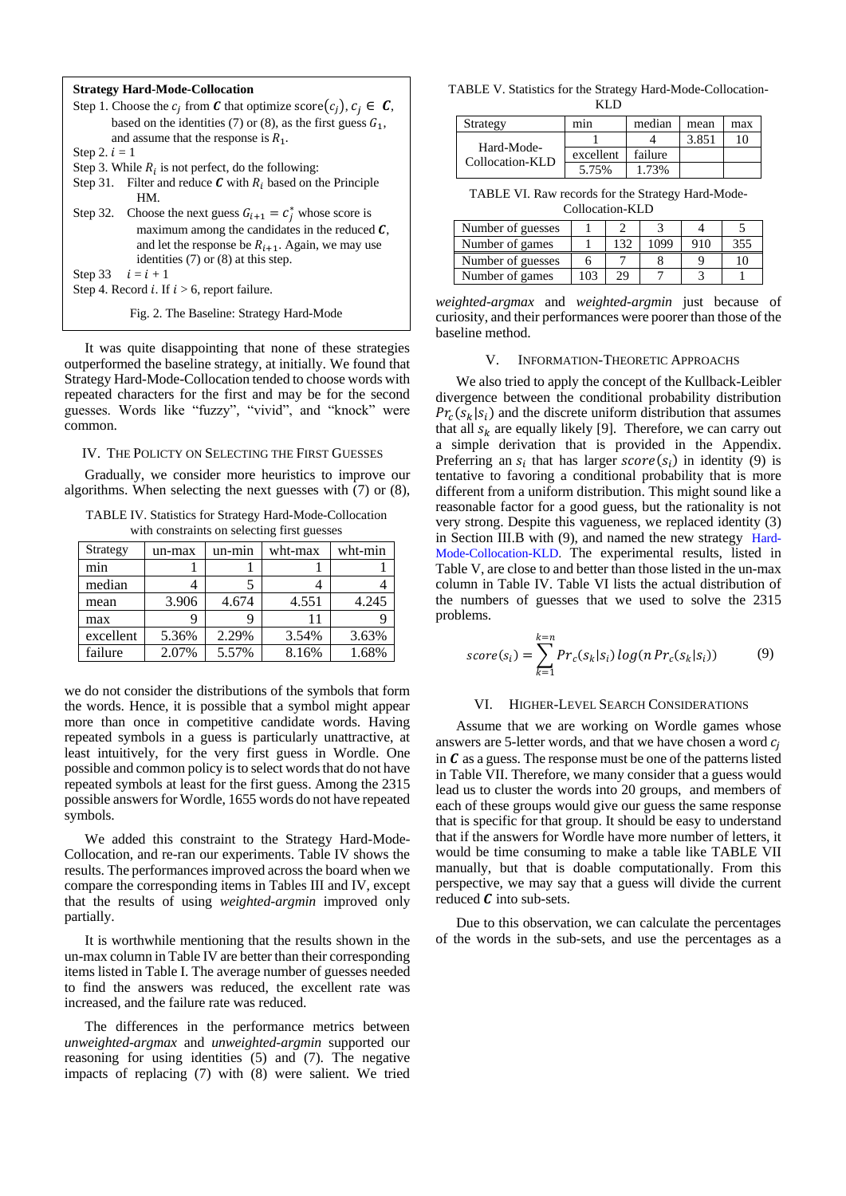#### **Strategy Hard-Mode-Collocation**

Step 1. Choose the  $c_j$  from  $\mathbf C$  that optimize score $(c_j)$ ,  $c_j \in \mathbf C$ , based on the identities (7) or (8), as the first guess  $G_1$ , and assume that the response is  $R_1$ . Step  $2$ ,  $i - 1$ 

Step 3. While  $R_i$  is not perfect, do the following:

Step 31. Filter and reduce  $C$  with  $R_i$  based on the Principle HM.

Step 32. Choose the next guess  $G_{i+1} = C_j^*$  whose score is maximum among the candidates in the reduced *,* and let the response be  $R_{i+1}$ . Again, we may use identities (7) or (8) at this step.

Step 33  $i = i + 1$ 

Step 4. Record *i*. If  $i > 6$ , report failure.

Fig. 2. The Baseline: Strategy Hard-Mode

It was quite disappointing that none of these strategies outperformed the baseline strategy, at initially. We found that Strategy Hard-Mode-Collocation tended to choose words with repeated characters for the first and may be for the second guesses. Words like "fuzzy", "vivid", and "knock" were common.

#### IV. THE POLICTY ON SELECTING THE FIRST GUESSES

Gradually, we consider more heuristics to improve our algorithms. When selecting the next guesses with (7) or (8),

TABLE IV. Statistics for Strategy Hard-Mode-Collocation with constraints on selecting first guesses

| Strategy  | un-max | un-min | wht-max | wht-min |
|-----------|--------|--------|---------|---------|
| min       |        |        |         |         |
| median    |        |        |         |         |
| mean      | 3.906  | 4.674  | 4.551   | 4.245   |
| max       |        |        |         |         |
| excellent | 5.36%  | 2.29%  | 3.54%   | 3.63%   |
| failure   | 2.07%  | 5.57%  | 8.16%   | 1.68%   |

we do not consider the distributions of the symbols that form the words. Hence, it is possible that a symbol might appear more than once in competitive candidate words. Having repeated symbols in a guess is particularly unattractive, at least intuitively, for the very first guess in Wordle. One possible and common policy is to select words that do not have repeated symbols at least for the first guess. Among the 2315 possible answers for Wordle, 1655 words do not have repeated symbols.

We added this constraint to the Strategy Hard-Mode-Collocation, and re-ran our experiments. Table IV shows the results. The performances improved across the board when we compare the corresponding items in Tables III and IV, except that the results of using *weighted-argmin* improved only partially.

It is worthwhile mentioning that the results shown in the un-max column in Table IV are better than their corresponding items listed in Table I. The average number of guesses needed to find the answers was reduced, the excellent rate was increased, and the failure rate was reduced.

The differences in the performance metrics between *unweighted-argmax* and *unweighted-argmin* supported our reasoning for using identities (5) and (7). The negative impacts of replacing (7) with (8) were salient. We tried

TABLE V. Statistics for the Strategy Hard-Mode-Collocation-KLD

| Strategy                      | mın       | median  | mean  | max |
|-------------------------------|-----------|---------|-------|-----|
|                               |           |         | 3.851 | 10  |
| Hard-Mode-<br>Collocation-KLD | excellent | failure |       |     |
|                               | 5.75%     | 1 73%   |       |     |

TABLE VI. Raw records for the Strategy Hard-Mode-Collocation-KLD

| $\cdots$          |     |     |      |     |     |  |  |
|-------------------|-----|-----|------|-----|-----|--|--|
| Number of guesses |     |     |      |     |     |  |  |
| Number of games   |     | 132 | 1099 | 910 | 355 |  |  |
| Number of guesses |     |     |      |     |     |  |  |
| Number of games   | 103 |     |      |     |     |  |  |

*weighted-argmax* and *weighted-argmin* just because of curiosity, and their performances were poorer than those of the baseline method.

### V. INFORMATION-THEORETIC APPROACHS

We also tried to apply the concept of the Kullback-Leibler divergence between the conditional probability distribution  $Pr_c(s_k|s_i)$  and the discrete uniform distribution that assumes that all  $s_k$  are equally likely [\[9\].](#page-5-12) Therefore, we can carry out a simple derivation that is provided in the Appendix. Preferring an  $s_i$  that has larger  $score(s_i)$  in identity (9) is tentative to favoring a conditional probability that is more different from a uniform distribution. This might sound like a reasonable factor for a good guess, but the rationality is not very strong. Despite this vagueness, we replaced identity (3) in Section III.B with (9), and named the new strategy Hard-Mode-Collocation-KLD. The experimental results, listed in Table V, are close to and better than those listed in the un-max column in Table IV. Table VI lists the actual distribution of the numbers of guesses that we used to solve the 2315 problems.

$$
score(s_i) = \sum_{k=1}^{k=n} Pr_c(s_k|s_i) log(n Pr_c(s_k|s_i))
$$
(9)

#### VI. HIGHER-LEVEL SEARCH CONSIDERATIONS

Assume that we are working on Wordle games whose answers are 5-letter words, and that we have chosen a word  $c_i$ in  $\bm{C}$  as a guess. The response must be one of the patterns listed in Table VII. Therefore, we many consider that a guess would lead us to cluster the words into 20 groups, and members of each of these groups would give our guess the same response that is specific for that group. It should be easy to understand that if the answers for Wordle have more number of letters, it would be time consuming to make a table like TABLE VII manually, but that is doable computationally. From this perspective, we may say that a guess will divide the current reduced  $\boldsymbol{C}$  into sub-sets.

Due to this observation, we can calculate the percentages of the words in the sub-sets, and use the percentages as a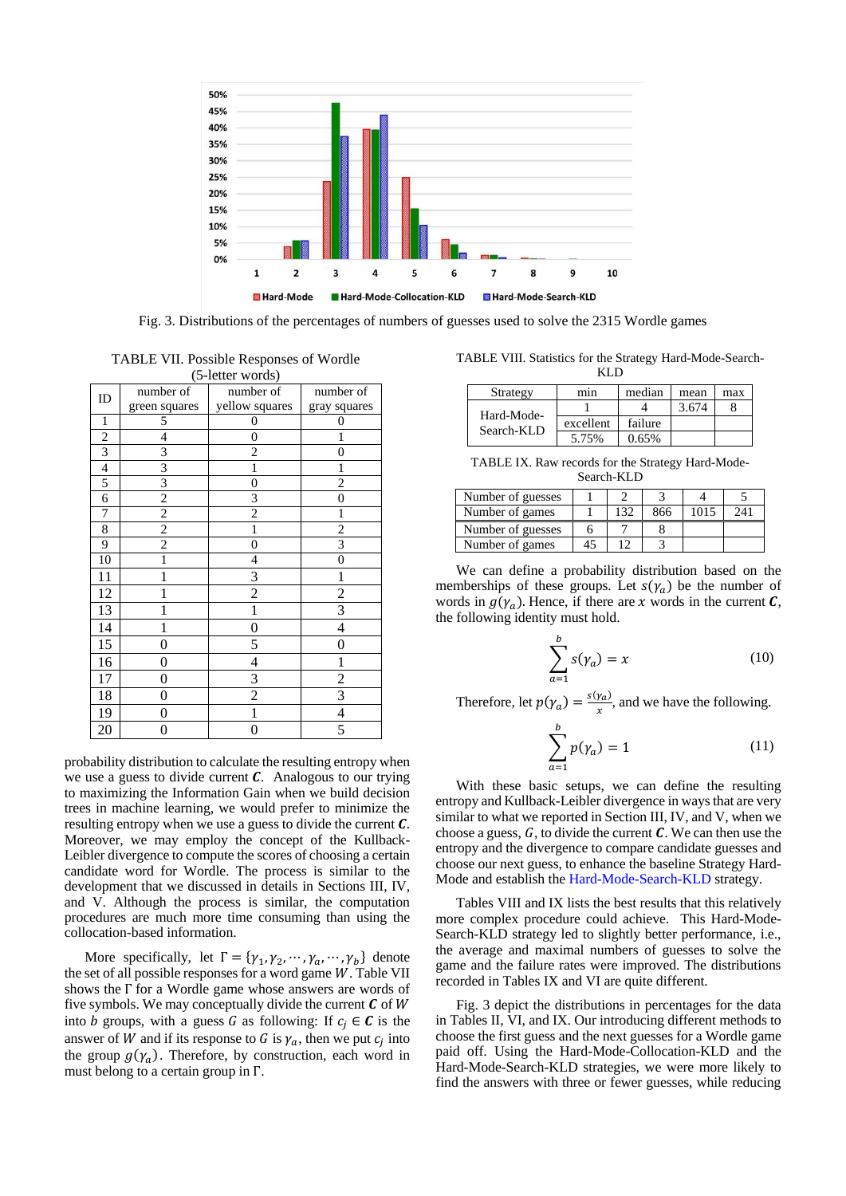

Fig. 3. Distributions of the percentages of numbers of guesses used to solve the 2315 Wordle games

TABLE VII. Possible Responses of Wordle  $(5 \text{ letter words})$ 

| $U$ -retter words) |                |                          |                          |  |  |  |
|--------------------|----------------|--------------------------|--------------------------|--|--|--|
| ID                 | number of      | number of                | number of                |  |  |  |
|                    | green squares  | yellow squares           | gray squares             |  |  |  |
| 1                  | 5              | 0                        | $\Omega$                 |  |  |  |
| $\overline{c}$     | 4              | $\boldsymbol{0}$         | 1                        |  |  |  |
| $\overline{3}$     | 3              | $\overline{c}$           | $\overline{0}$           |  |  |  |
| $\overline{4}$     | $\overline{3}$ | 1                        | 1                        |  |  |  |
| 5                  | $\overline{3}$ | $\boldsymbol{0}$         | $\overline{2}$           |  |  |  |
| $\overline{6}$     | $\overline{2}$ | $\overline{\mathbf{3}}$  | 0                        |  |  |  |
| 7                  | $\overline{c}$ | $\overline{c}$           | 1                        |  |  |  |
| $\overline{8}$     | $\overline{2}$ | $\overline{1}$           | $\overline{2}$           |  |  |  |
| 9                  | $\overline{2}$ | $\overline{0}$           | $\overline{\mathbf{3}}$  |  |  |  |
| 10                 | 1              | 4                        | $\overline{0}$           |  |  |  |
| 11                 | 1              | 3                        | 1                        |  |  |  |
| 12                 | 1              | $\overline{c}$           | $\overline{\mathbf{c}}$  |  |  |  |
| 13                 |                | 1                        | $\overline{3}$           |  |  |  |
| 14                 | 1              | $\overline{0}$           | $\overline{4}$           |  |  |  |
| 15                 | $\overline{0}$ | 5                        | $\overline{0}$           |  |  |  |
| 16                 | 0              | $\overline{\mathcal{L}}$ | 1                        |  |  |  |
| 17                 | 0              | 3                        | $\overline{c}$           |  |  |  |
| 18                 | 0              | $\overline{c}$           | 3                        |  |  |  |
| 19                 | 0              | 1                        | $\overline{\mathcal{L}}$ |  |  |  |
| 20                 | 0              | 0                        | 5                        |  |  |  |

probability distribution to calculate the resulting entropy when we use a guess to divide current *. Analogous to our trying* to maximizing the Information Gain when we build decision trees in machine learning, we would prefer to minimize the resulting entropy when we use a guess to divide the current *.* Moreover, we may employ the concept of the Kullback-Leibler divergence to compute the scores of choosing a certain candidate word for Wordle. The process is similar to the development that we discussed in details in Sections III, IV, and V. Although the process is similar, the computation procedures are much more time consuming than using the collocation-based information.

More specifically, let  $\Gamma = {\gamma_1, \gamma_2, ..., \gamma_a, ..., \gamma_b}$  denote the set of all possible responses for a word game  $W$ . Table VII shows the Γ for a Wordle game whose answers are words of five symbols. We may conceptually divide the current  $\mathcal C$  of  $W$ into *b* groups, with a guess *G* as following: If  $c_i \in C$  is the answer of W and if its response to G is  $\gamma_a$ , then we put  $c_j$  into the group  $g(\gamma_a)$ . Therefore, by construction, each word in must belong to a certain group in Γ.

TABLE VIII. Statistics for the Strategy Hard-Mode-Search-KLD

|                          | .         |         |       |     |
|--------------------------|-----------|---------|-------|-----|
| Strategy                 | mın       | median  | mean  | max |
|                          |           |         | 3.674 |     |
| Hard-Mode-<br>Search-KLD | excellent | failure |       |     |
|                          | 5.75%     | 0.65%   |       |     |

TABLE IX. Raw records for the Strategy Hard-Mode-Search-KLD

| Number of guesses |     |     |      |     |
|-------------------|-----|-----|------|-----|
| Number of games   | 132 | 866 | 1015 | 241 |
| Number of guesses |     |     |      |     |
| Number of games   |     |     |      |     |

We can define a probability distribution based on the memberships of these groups. Let  $s(\gamma_a)$  be the number of words in  $g(\gamma_a)$ . Hence, if there are x words in the current C, the following identity must hold.

$$
\sum_{a=1}^{b} s(\gamma_a) = x \tag{10}
$$

Therefore, let  $p(\gamma_a) = \frac{s(\gamma_a)}{r}$  $\frac{r_a}{x}$ , and we have the following.

$$
\sum_{a=1}^{b} p(\gamma_a) = 1
$$
 (11)

With these basic setups, we can define the resulting entropy and Kullback-Leibler divergence in ways that are very similar to what we reported in Section III, IV, and V, when we choose a guess,  $G$ , to divide the current  $C$ . We can then use the entropy and the divergence to compare candidate guesses and choose our next guess, to enhance the baseline Strategy Hard-Mode and establish the Hard-Mode-Search-KLD strategy.

Tables VIII and IX lists the best results that this relatively more complex procedure could achieve. This Hard-Mode-Search-KLD strategy led to slightly better performance, i.e., the average and maximal numbers of guesses to solve the game and the failure rates were improved. The distributions recorded in Tables IX and VI are quite different.

Fig. 3 depict the distributions in percentages for the data in Tables II, VI, and IX. Our introducing different methods to choose the first guess and the next guesses for a Wordle game paid off. Using the Hard-Mode-Collocation-KLD and the Hard-Mode-Search-KLD strategies, we were more likely to find the answers with three or fewer guesses, while reducing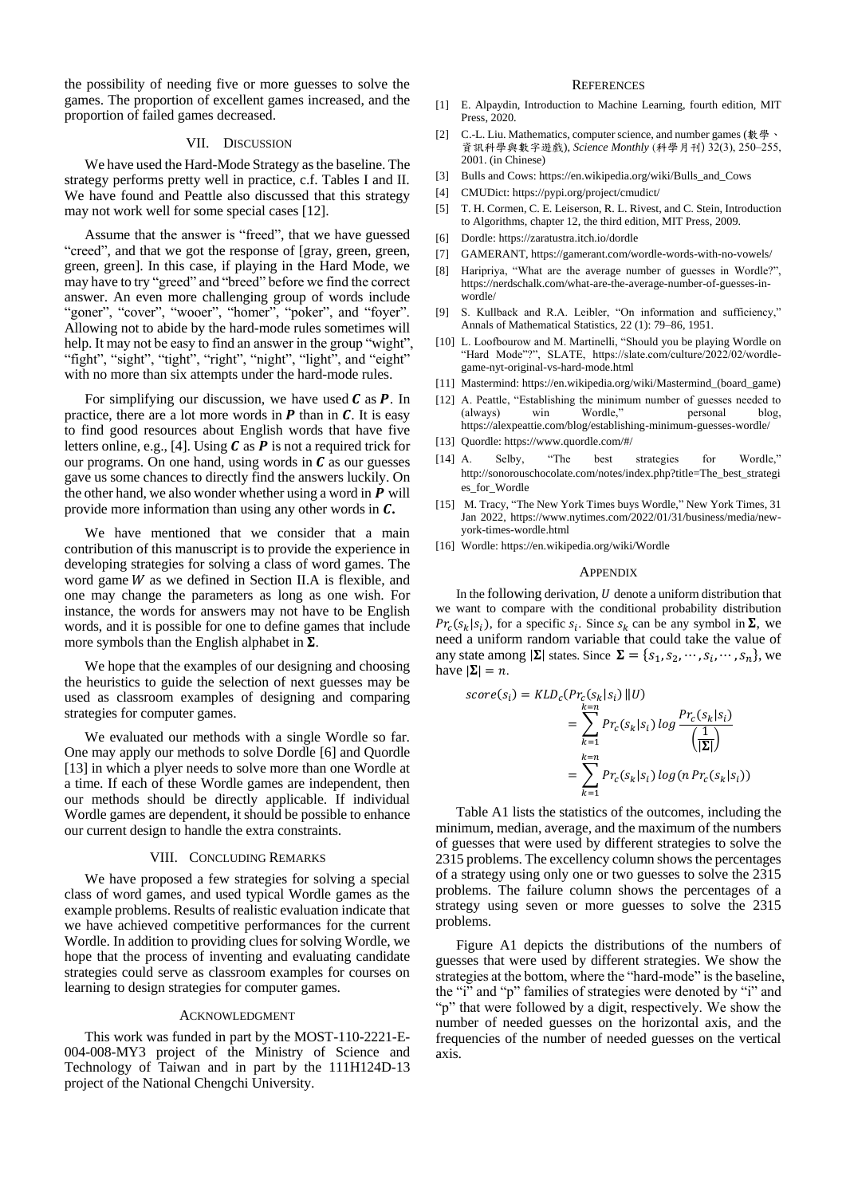the possibility of needing five or more guesses to solve the games. The proportion of excellent games increased, and the proportion of failed games decreased.

#### VII. DISCUSSION

We have used the Hard-Mode Strategy as the baseline. The strategy performs pretty well in practice, c.f. Tables I and II. We have found and Peattle also discussed that this strategy may not work well for some special cases [\[12\].](#page-5-4)

Assume that the answer is "freed", that we have guessed "creed", and that we got the response of [gray, green, green, green, green]. In this case, if playing in the Hard Mode, we may have to try "greed" and "breed" before we find the correct answer. An even more challenging group of words include "goner", "cover", "wooer", "homer", "poker", and "foyer". Allowing not to abide by the hard-mode rules sometimes will help. It may not be easy to find an answer in the group "wight", "fight", "sight", "tight", "right", "night", "light", and "eight" with no more than six attempts under the hard-mode rules.

For simplifying our discussion, we have used  $C$  as  $P$ . In practice, there are a lot more words in  $P$  than in  $C$ . It is easy to find good resources about English words that have five letters online, e.g., [\[4\].](#page-5-13) Using  $C$  as  $P$  is not a required trick for our programs. On one hand, using words in  *as our guesses* gave us some chances to directly find the answers luckily. On the other hand, we also wonder whether using a word in  $P$  will provide more information than using any other words in *.* 

We have mentioned that we consider that a main contribution of this manuscript is to provide the experience in developing strategies for solving a class of word games. The word game  $W$  as we defined in Section II.A is flexible, and one may change the parameters as long as one wish. For instance, the words for answers may not have to be English words, and it is possible for one to define games that include more symbols than the English alphabet in  $\Sigma$ .

We hope that the examples of our designing and choosing the heuristics to guide the selection of next guesses may be used as classroom examples of designing and comparing strategies for computer games.

We evaluated our methods with a single Wordle so far. One may apply our methods to solve Dordle [\[6\]](#page-5-14) and Quordle [\[13\]](#page-5-15) in which a plyer needs to solve more than one Wordle at a time. If each of these Wordle games are independent, then our methods should be directly applicable. If individual Wordle games are dependent, it should be possible to enhance our current design to handle the extra constraints.

#### VIII. CONCLUDING REMARKS

We have proposed a few strategies for solving a special class of word games, and used typical Wordle games as the example problems. Results of realistic evaluation indicate that we have achieved competitive performances for the current Wordle. In addition to providing clues for solving Wordle, we hope that the process of inventing and evaluating candidate strategies could serve as classroom examples for courses on learning to design strategies for computer games.

#### ACKNOWLEDGMENT

This work was funded in part by the MOST-110-2221-E-004-008-MY3 project of the Ministry of Science and Technology of Taiwan and in part by the 111H124D-13 project of the National Chengchi University.

## **REFERENCES**

- <span id="page-5-9"></span>[1] E. Alpaydin, Introduction to Machine Learning, fourth edition, MIT Press, 2020.
- <span id="page-5-6"></span>[2] C.-L. Liu. Mathematics, computer science, and number games (數學、 資訊科學與數字遊戲), *Science Monthly* (科學月刊) 32(3), 250‒255, 2001. (in Chinese)
- <span id="page-5-3"></span>[3] Bulls and Cows: https://en.wikipedia.org/wiki/Bulls\_and\_Cows
- <span id="page-5-13"></span>[4] CMUDict: https://pypi.org/project/cmudict/
- <span id="page-5-11"></span>[5] T. H. Cormen, C. E. Leiserson, R. L. Rivest, and C. Stein, Introduction to Algorithms, chapter 12, the third edition, MIT Press, 2009.
- <span id="page-5-14"></span>[6] Dordle: https://zaratustra.itch.io/dordle
- <span id="page-5-10"></span>[7] GAMERANT, https://gamerant.com/wordle-words-with-no-vowels/
- <span id="page-5-5"></span>[8] Haripriya, "What are the average number of guesses in Wordle?", https://nerdschalk.com/what-are-the-average-number-of-guesses-inwordle/
- <span id="page-5-12"></span>[9] S. Kullback and R.A. Leibler, "On information and sufficiency," Annals of Mathematical Statistics, 22 (1): 79–86, 1951.
- <span id="page-5-7"></span>[10] L. Loofbourow and M. Martinelli, "Should you be playing Wordle on "Hard Mode"?", SLATE, https://slate.com/culture/2022/02/wordlegame-nyt-original-vs-hard-mode.html
- <span id="page-5-2"></span>[11] Mastermind: https://en.wikipedia.org/wiki/Mastermind\_(board\_game)
- <span id="page-5-4"></span>[12] A. Peattle, "Establishing the minimum number of guesses needed to (always) win Wordle," personal https://alexpeattie.com/blog/establishing-minimum-guesses-wordle/
- <span id="page-5-15"></span>[13] Quordle: https://www.quordle.com/#/
- <span id="page-5-8"></span>[14] A. Selby, "The best strategies for Wordle," http://sonorouschocolate.com/notes/index.php?title=The\_best\_strategi es\_for\_Wordle
- <span id="page-5-1"></span>[15] M. Tracy, "The New York Times buys Wordle," New York Times, 31 Jan 2022, https://www.nytimes.com/2022/01/31/business/media/newyork-times-wordle.html
- <span id="page-5-0"></span>[16] Wordle: https://en.wikipedia.org/wiki/Wordle

#### **APPENDIX**

In the following derivation,  $U$  denote a uniform distribution that we want to compare with the conditional probability distribution  $Pr_c(s_k|s_i)$ , for a specific  $s_i$ . Since  $s_k$  can be any symbol in  $\Sigma$ , we need a uniform random variable that could take the value of any state among  $|\Sigma|$  states. Since  $\Sigma = \{s_1, s_2, \dots, s_i, \dots, s_n\}$ , we have  $|\Sigma| = n$ .

$$
score(s_i) = KLD_c(Pr_c(s_k|s_i) || U)
$$
  
= 
$$
\sum_{k=1}^{k=n} Pr_c(s_k|s_i) log \frac{Pr_c(s_k|s_i)}{|\mathbf{\Sigma}|}
$$
  
= 
$$
\sum_{k=1}^{k=n} Pr_c(s_k|s_i) log(n Pr_c(s_k|s_i))
$$

Table A1 lists the statistics of the outcomes, including the minimum, median, average, and the maximum of the numbers of guesses that were used by different strategies to solve the 2315 problems. The excellency column shows the percentages of a strategy using only one or two guesses to solve the 2315 problems. The failure column shows the percentages of a strategy using seven or more guesses to solve the 2315 problems.

Figure A1 depicts the distributions of the numbers of guesses that were used by different strategies. We show the strategies at the bottom, where the "hard-mode" is the baseline, the "i" and "p" families of strategies were denoted by "i" and "p" that were followed by a digit, respectively. We show the number of needed guesses on the horizontal axis, and the frequencies of the number of needed guesses on the vertical axis.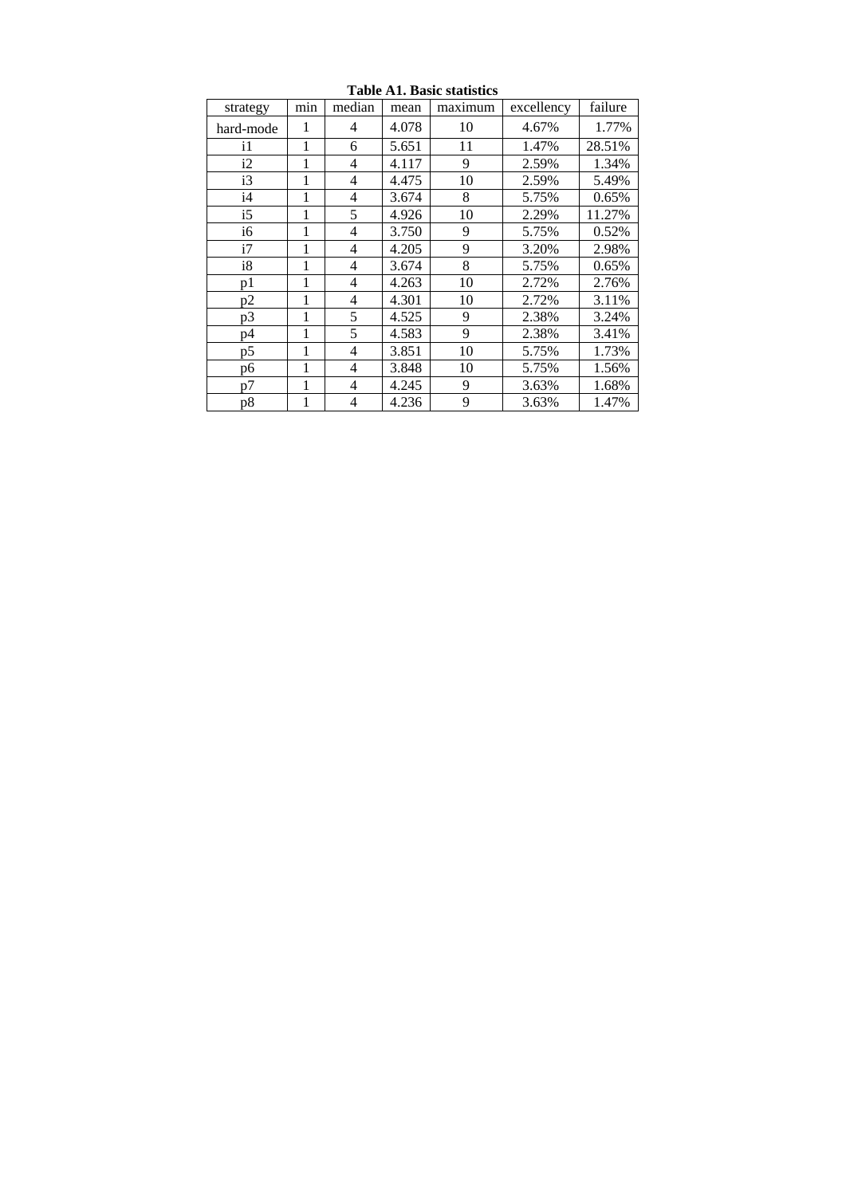| strategy  | min | median         | mean  | maximum | excellency | failure |
|-----------|-----|----------------|-------|---------|------------|---------|
| hard-mode | 1   | 4              | 4.078 | 10      | 4.67%      | 1.77%   |
| i1        | 1   | 6              | 5.651 | 11      | 1.47%      | 28.51%  |
| i2        | 1   | $\overline{4}$ | 4.117 | 9       | 2.59%      | 1.34%   |
| i3        | 1   | 4              | 4.475 | 10      | 2.59%      | 5.49%   |
| i4        | 1   | 4              | 3.674 | 8       | 5.75%      | 0.65%   |
| i5        | 1   | 5              | 4.926 | 10      | 2.29%      | 11.27%  |
| i6        | 1   | 4              | 3.750 | 9       | 5.75%      | 0.52%   |
| i7        | 1   | 4              | 4.205 | 9       | 3.20%      | 2.98%   |
| i8        | 1   | 4              | 3.674 | 8       | 5.75%      | 0.65%   |
| p1        | 1   | 4              | 4.263 | 10      | 2.72%      | 2.76%   |
| p2        | 1   | 4              | 4.301 | 10      | 2.72%      | 3.11%   |
| p3        | 1   | 5              | 4.525 | 9       | 2.38%      | 3.24%   |
| p4        | 1   | 5              | 4.583 | 9       | 2.38%      | 3.41%   |
| p5        |     | 4              | 3.851 | 10      | 5.75%      | 1.73%   |
| p6        | 1   | 4              | 3.848 | 10      | 5.75%      | 1.56%   |
| p7        | 1   | 4              | 4.245 | 9       | 3.63%      | 1.68%   |
| p8        | 1   | 4              | 4.236 | 9       | 3.63%      | 1.47%   |

**Table A1. Basic statistics**